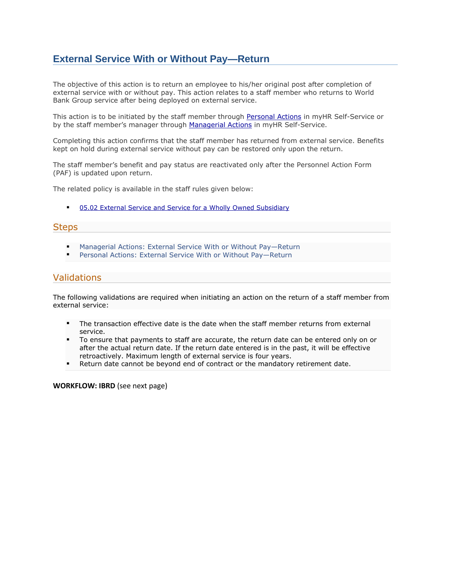## **External Service With or Without Pay—Return**

The objective of this action is to return an employee to his/her original post after completion of external service with or without pay. This action relates to a staff member who returns to World Bank Group service after being deployed on external service.

This action is to be initiated by the staff member through [Personal Actions](https://myhrss.worldbank.org/) in myHR Self-Service or by the staff member's manager through [Managerial Actions](https://myhrss.worldbank.org/) in myHR Self-Service.

Completing this action confirms that the staff member has returned from external service. Benefits kept on hold during external service without pay can be restored only upon the return.

The staff member's benefit and pay status are reactivated only after the Personnel Action Form (PAF) is updated upon return.

The related policy is available in the staff rules given below:

■ 05.02 External Service and Service for a Wholly Owned Subsidiary

## **Steps**

- Managerial Actions: External Service With or Without Pay-Return
- Personal Actions: External Service With or Without Pay-Return

## Validations

The following validations are required when initiating an action on the return of a staff member from external service:

- The transaction effective date is the date when the staff member returns from external service.
- To ensure that payments to staff are accurate, the return date can be entered only on or after the actual return date. If the return date entered is in the past, it will be effective retroactively. Maximum length of external service is four years.
- Return date cannot be beyond end of contract or the mandatory retirement date.

**WORKFLOW: IBRD** (see next page)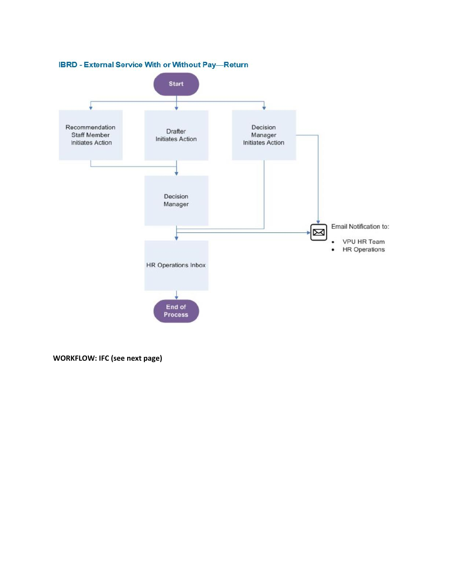

**WORKFLOW: IFC (see next page)**